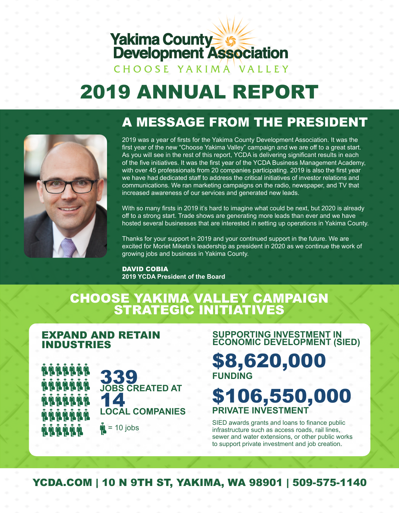# **Yakima County Strategier Processor Development Association**

### CHOOSE YAKIMA VALLEY

# 2019 ANNUAL REPORT

## A MESSAGE FROM THE PRESIDENT



2019 was a year of firsts for the Yakima County Development Association. It was the first year of the new "Choose Yakima Valley" campaign and we are off to a great start. As you will see in the rest of this report, YCDA is delivering significant results in each of the five initiatives. It was the first year of the YCDA Business Management Academy, with over 45 professionals from 20 companies participating. 2019 is also the first year we have had dedicated staff to address the critical initiatives of investor relations and communications. We ran marketing campaigns on the radio, newspaper, and TV that increased awareness of our services and generated new leads.

With so many firsts in 2019 it's hard to imagine what could be next, but 2020 is already off to a strong start. Trade shows are generating more leads than ever and we have hosted several businesses that are interested in setting up operations in Yakima County.

Thanks for your support in 2019 and your continued support in the future. We are excited for Moriet Miketa's leadership as president in 2020 as we continue the work of growing jobs and business in Yakima County.

#### DAVID COBIA **2019 YCDA President of the Board**

### CHOOSE YAKIMA VALLEY CAMPAIGN STRATEGIC INITIATIVES

#### EXPAND AND RETAIN INDUSTRIES

**A A A A A A A A A A A A A A ŴŴŴŴŴ A A A A A A** 



 $\frac{M}{2}$  = 10 jobs

**SUPPORTING INVESTMENT IN ECONOMIC DEVELOPMENT (SIED)** \$8,620,000

# **FUNDING**

# \$106,550,000 **PRIVATE INVESTMENT**

SIED awards grants and loans to finance public infrastructure such as access roads, rail lines, sewer and water extensions, or other public works to support private investment and job creation.

YCDA.COM | 10 N 9TH ST, YAKIMA, WA 98901 | 509-575-1140